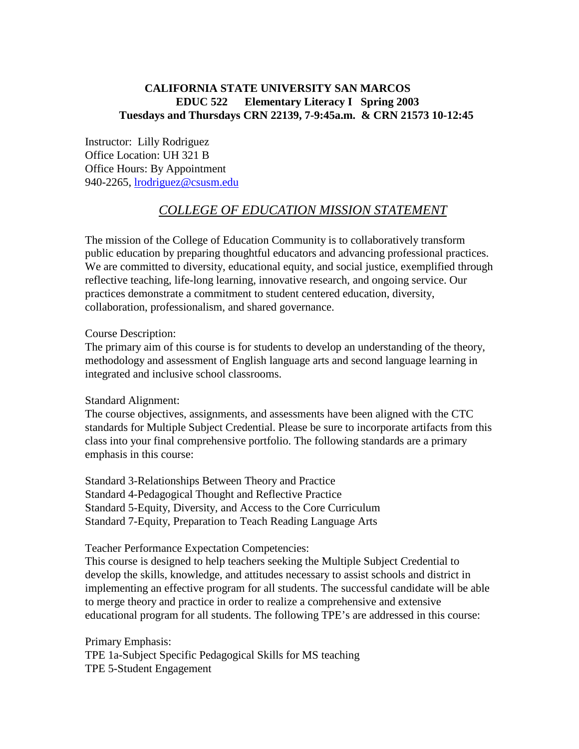## **CALIFORNIA STATE UNIVERSITY SAN MARCOS EDUC 522 Elementary Literacy I Spring 2003 Tuesdays and Thursdays CRN 22139, 7-9:45a.m. & CRN 21573 10-12:45**

Instructor: Lilly Rodriguez Office Location: UH 321 B Office Hours: By Appointment 940-2265, lrodriguez@csusm.edu

# *COLLEGE OF EDUCATION MISSION STATEMENT*

The mission of the College of Education Community is to collaboratively transform public education by preparing thoughtful educators and advancing professional practices. We are committed to diversity, educational equity, and social justice, exemplified through reflective teaching, life-long learning, innovative research, and ongoing service. Our practices demonstrate a commitment to student centered education, diversity, collaboration, professionalism, and shared governance.

Course Description:

The primary aim of this course is for students to develop an understanding of the theory, methodology and assessment of English language arts and second language learning in integrated and inclusive school classrooms.

### Standard Alignment:

The course objectives, assignments, and assessments have been aligned with the CTC standards for Multiple Subject Credential. Please be sure to incorporate artifacts from this class into your final comprehensive portfolio. The following standards are a primary emphasis in this course:

Standard 3-Relationships Between Theory and Practice Standard 4-Pedagogical Thought and Reflective Practice Standard 5-Equity, Diversity, and Access to the Core Curriculum Standard 7-Equity, Preparation to Teach Reading Language Arts

Teacher Performance Expectation Competencies:

This course is designed to help teachers seeking the Multiple Subject Credential to develop the skills, knowledge, and attitudes necessary to assist schools and district in implementing an effective program for all students. The successful candidate will be able to merge theory and practice in order to realize a comprehensive and extensive educational program for all students. The following TPE's are addressed in this course:

Primary Emphasis: TPE 1a-Subject Specific Pedagogical Skills for MS teaching TPE 5-Student Engagement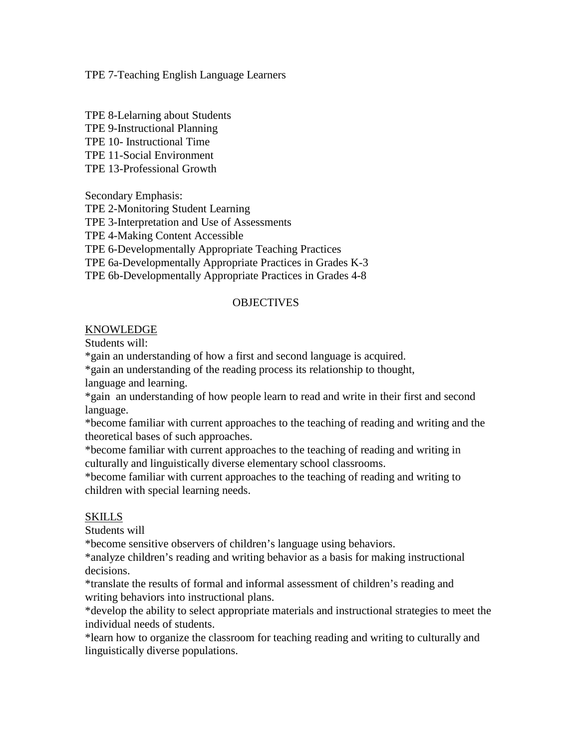TPE 7-Teaching English Language Learners

TPE 8-Lelarning about Students TPE 9-Instructional Planning TPE 10- Instructional Time TPE 11-Social Environment TPE 13-Professional Growth

Secondary Emphasis: TPE 2-Monitoring Student Learning TPE 3-Interpretation and Use of Assessments TPE 4-Making Content Accessible TPE 6-Developmentally Appropriate Teaching Practices TPE 6a-Developmentally Appropriate Practices in Grades K-3 TPE 6b-Developmentally Appropriate Practices in Grades 4-8

### **OBJECTIVES**

### KNOWLEDGE

Students will:

\*gain an understanding of how a first and second language is acquired.

\*gain an understanding of the reading process its relationship to thought, language and learning.

\*gain an understanding of how people learn to read and write in their first and second language.

\*become familiar with current approaches to the teaching of reading and writing and the theoretical bases of such approaches.

\*become familiar with current approaches to the teaching of reading and writing in culturally and linguistically diverse elementary school classrooms.

\*become familiar with current approaches to the teaching of reading and writing to children with special learning needs.

## SKILLS

Students will

\*become sensitive observers of children's language using behaviors.

\*analyze children's reading and writing behavior as a basis for making instructional decisions.

\*translate the results of formal and informal assessment of children's reading and writing behaviors into instructional plans.

\*develop the ability to select appropriate materials and instructional strategies to meet the individual needs of students.

\*learn how to organize the classroom for teaching reading and writing to culturally and linguistically diverse populations.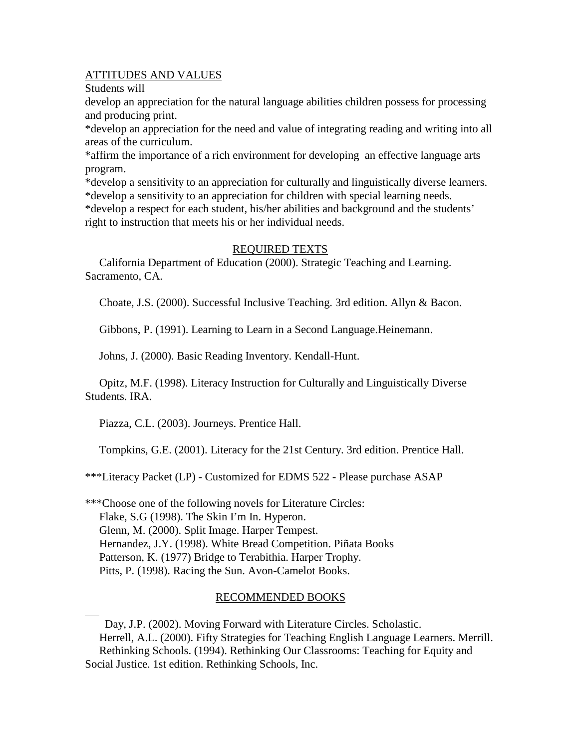### ATTITUDES AND VALUES

Students will

 $\overline{a}$ 

develop an appreciation for the natural language abilities children possess for processing and producing print.

\*develop an appreciation for the need and value of integrating reading and writing into all areas of the curriculum.

\*affirm the importance of a rich environment for developing an effective language arts program.

\*develop a sensitivity to an appreciation for culturally and linguistically diverse learners. \*develop a sensitivity to an appreciation for children with special learning needs.

\*develop a respect for each student, his/her abilities and background and the students' right to instruction that meets his or her individual needs.

### REQUIRED TEXTS

 California Department of Education (2000). Strategic Teaching and Learning. Sacramento, CA.

Choate, J.S. (2000). Successful Inclusive Teaching. 3rd edition. Allyn & Bacon.

Gibbons, P. (1991). Learning to Learn in a Second Language.Heinemann.

Johns, J. (2000). Basic Reading Inventory. Kendall-Hunt.

 Opitz, M.F. (1998). Literacy Instruction for Culturally and Linguistically Diverse Students. IRA.

Piazza, C.L. (2003). Journeys. Prentice Hall.

Tompkins, G.E. (2001). Literacy for the 21st Century. 3rd edition. Prentice Hall.

\*\*\*Literacy Packet (LP) - Customized for EDMS 522 - Please purchase ASAP

\*\*\*Choose one of the following novels for Literature Circles: Flake, S.G (1998). The Skin I'm In. Hyperon. Glenn, M. (2000). Split Image. Harper Tempest. Hernandez, J.Y. (1998). White Bread Competition. Piñata Books Patterson, K. (1977) Bridge to Terabithia. Harper Trophy. Pitts, P. (1998). Racing the Sun. Avon-Camelot Books.

## RECOMMENDED BOOKS

 Day, J.P. (2002). Moving Forward with Literature Circles. Scholastic. Herrell, A.L. (2000). Fifty Strategies for Teaching English Language Learners. Merrill. Rethinking Schools. (1994). Rethinking Our Classrooms: Teaching for Equity and Social Justice. 1st edition. Rethinking Schools, Inc.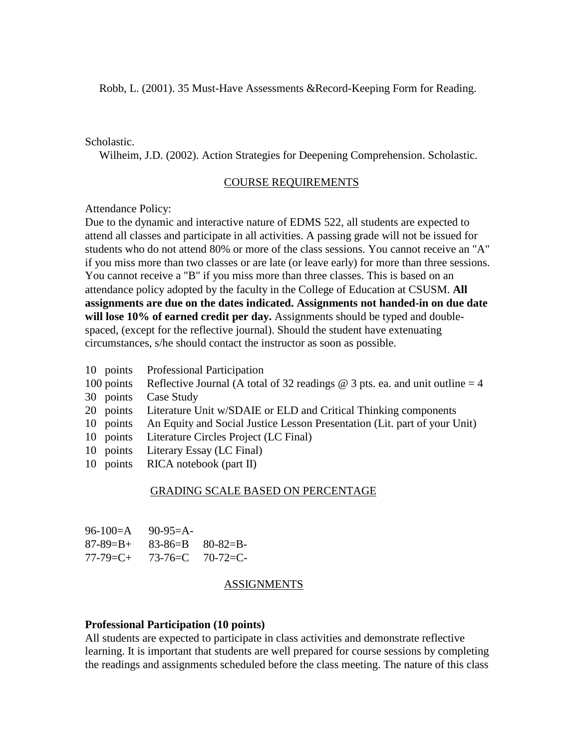#### Scholastic.

Wilheim, J.D. (2002). Action Strategies for Deepening Comprehension. Scholastic.

#### COURSE REQUIREMENTS

Attendance Policy:

Due to the dynamic and interactive nature of EDMS 522, all students are expected to attend all classes and participate in all activities. A passing grade will not be issued for students who do not attend 80% or more of the class sessions. You cannot receive an "A" if you miss more than two classes or are late (or leave early) for more than three sessions. You cannot receive a "B" if you miss more than three classes. This is based on an attendance policy adopted by the faculty in the College of Education at CSUSM. **All assignments are due on the dates indicated. Assignments not handed-in on due date will lose 10% of earned credit per day.** Assignments should be typed and doublespaced, (except for the reflective journal). Should the student have extenuating circumstances, s/he should contact the instructor as soon as possible.

- 10 points Professional Participation
- 100 points Reflective Journal (A total of 32 readings  $\omega$  3 pts. ea. and unit outline = 4
- 30 points Case Study
- 20 points Literature Unit w/SDAIE or ELD and Critical Thinking components
- 10 points An Equity and Social Justice Lesson Presentation (Lit. part of your Unit)
- 10 points Literature Circles Project (LC Final)
- 10 points Literary Essay (LC Final)
- 10 points RICA notebook (part II)

#### GRADING SCALE BASED ON PERCENTAGE

| $96-100=A$      | $90-95=A-$ |                             |
|-----------------|------------|-----------------------------|
| 87-89=B+        |            | $83 - 86 = B$ $80 - 82 = B$ |
| $77 - 79 = C +$ |            | $73 - 76 = C$ $70 - 72 = C$ |

#### ASSIGNMENTS

#### **Professional Participation (10 points)**

All students are expected to participate in class activities and demonstrate reflective learning. It is important that students are well prepared for course sessions by completing the readings and assignments scheduled before the class meeting. The nature of this class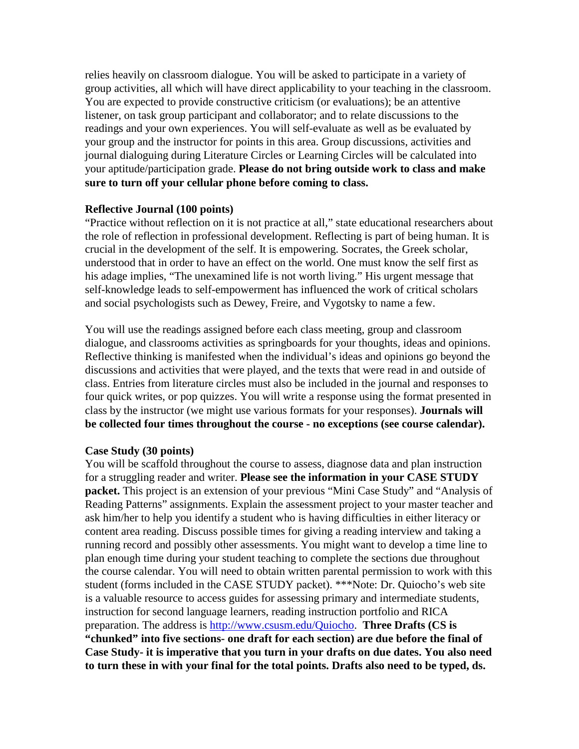relies heavily on classroom dialogue. You will be asked to participate in a variety of group activities, all which will have direct applicability to your teaching in the classroom. You are expected to provide constructive criticism (or evaluations); be an attentive listener, on task group participant and collaborator; and to relate discussions to the readings and your own experiences. You will self-evaluate as well as be evaluated by your group and the instructor for points in this area. Group discussions, activities and journal dialoguing during Literature Circles or Learning Circles will be calculated into your aptitude/participation grade. **Please do not bring outside work to class and make sure to turn off your cellular phone before coming to class.**

#### **Reflective Journal (100 points)**

"Practice without reflection on it is not practice at all," state educational researchers about the role of reflection in professional development. Reflecting is part of being human. It is crucial in the development of the self. It is empowering. Socrates, the Greek scholar, understood that in order to have an effect on the world. One must know the self first as his adage implies, "The unexamined life is not worth living." His urgent message that self-knowledge leads to self-empowerment has influenced the work of critical scholars and social psychologists such as Dewey, Freire, and Vygotsky to name a few.

You will use the readings assigned before each class meeting, group and classroom dialogue, and classrooms activities as springboards for your thoughts, ideas and opinions. Reflective thinking is manifested when the individual's ideas and opinions go beyond the discussions and activities that were played, and the texts that were read in and outside of class. Entries from literature circles must also be included in the journal and responses to four quick writes, or pop quizzes. You will write a response using the format presented in class by the instructor (we might use various formats for your responses). **Journals will be collected four times throughout the course - no exceptions (see course calendar).**

### **Case Study (30 points)**

You will be scaffold throughout the course to assess, diagnose data and plan instruction for a struggling reader and writer. **Please see the information in your CASE STUDY packet.** This project is an extension of your previous "Mini Case Study" and "Analysis of Reading Patterns" assignments. Explain the assessment project to your master teacher and ask him/her to help you identify a student who is having difficulties in either literacy or content area reading. Discuss possible times for giving a reading interview and taking a running record and possibly other assessments. You might want to develop a time line to plan enough time during your student teaching to complete the sections due throughout the course calendar. You will need to obtain written parental permission to work with this student (forms included in the CASE STUDY packet). \*\*\*Note: Dr. Quiocho's web site is a valuable resource to access guides for assessing primary and intermediate students, instruction for second language learners, reading instruction portfolio and RICA preparation. The address is http://www.csusm.edu/Quiocho. **Three Drafts (CS is "chunked" into five sections- one draft for each section) are due before the final of Case Study- it is imperative that you turn in your drafts on due dates. You also need to turn these in with your final for the total points. Drafts also need to be typed, ds.**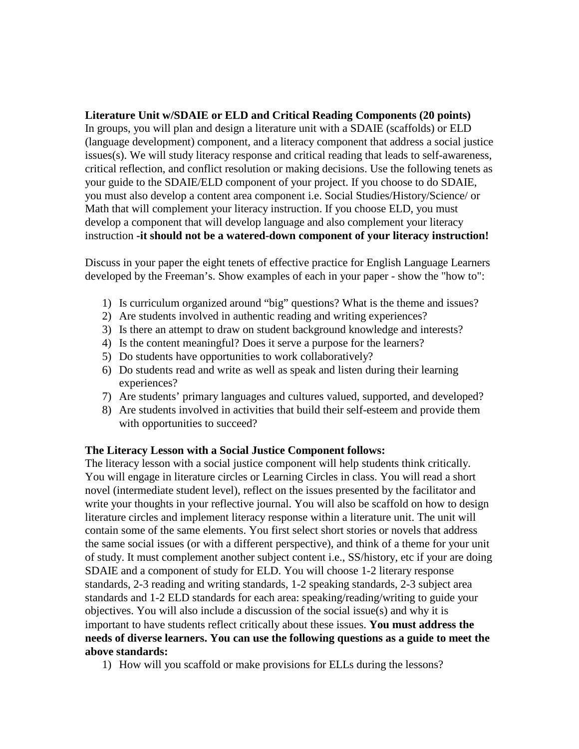**Literature Unit w/SDAIE or ELD and Critical Reading Components (20 points)** In groups, you will plan and design a literature unit with a SDAIE (scaffolds) or ELD (language development) component, and a literacy component that address a social justice issues(s). We will study literacy response and critical reading that leads to self-awareness, critical reflection, and conflict resolution or making decisions. Use the following tenets as your guide to the SDAIE/ELD component of your project. If you choose to do SDAIE, you must also develop a content area component i.e. Social Studies/History/Science/ or Math that will complement your literacy instruction. If you choose ELD, you must develop a component that will develop language and also complement your literacy instruction **-it should not be a watered-down component of your literacy instruction!**

Discuss in your paper the eight tenets of effective practice for English Language Learners developed by the Freeman's. Show examples of each in your paper - show the "how to":

- 1) Is curriculum organized around "big" questions? What is the theme and issues?
- 2) Are students involved in authentic reading and writing experiences?
- 3) Is there an attempt to draw on student background knowledge and interests?
- 4) Is the content meaningful? Does it serve a purpose for the learners?
- 5) Do students have opportunities to work collaboratively?
- 6) Do students read and write as well as speak and listen during their learning experiences?
- 7) Are students' primary languages and cultures valued, supported, and developed?
- 8) Are students involved in activities that build their self-esteem and provide them with opportunities to succeed?

## **The Literacy Lesson with a Social Justice Component follows:**

The literacy lesson with a social justice component will help students think critically. You will engage in literature circles or Learning Circles in class. You will read a short novel (intermediate student level), reflect on the issues presented by the facilitator and write your thoughts in your reflective journal. You will also be scaffold on how to design literature circles and implement literacy response within a literature unit. The unit will contain some of the same elements. You first select short stories or novels that address the same social issues (or with a different perspective), and think of a theme for your unit of study. It must complement another subject content i.e., SS/history, etc if your are doing SDAIE and a component of study for ELD. You will choose 1-2 literary response standards, 2-3 reading and writing standards, 1-2 speaking standards, 2-3 subject area standards and 1-2 ELD standards for each area: speaking/reading/writing to guide your objectives. You will also include a discussion of the social issue(s) and why it is important to have students reflect critically about these issues. **You must address the needs of diverse learners. You can use the following questions as a guide to meet the above standards:**

1) How will you scaffold or make provisions for ELLs during the lessons?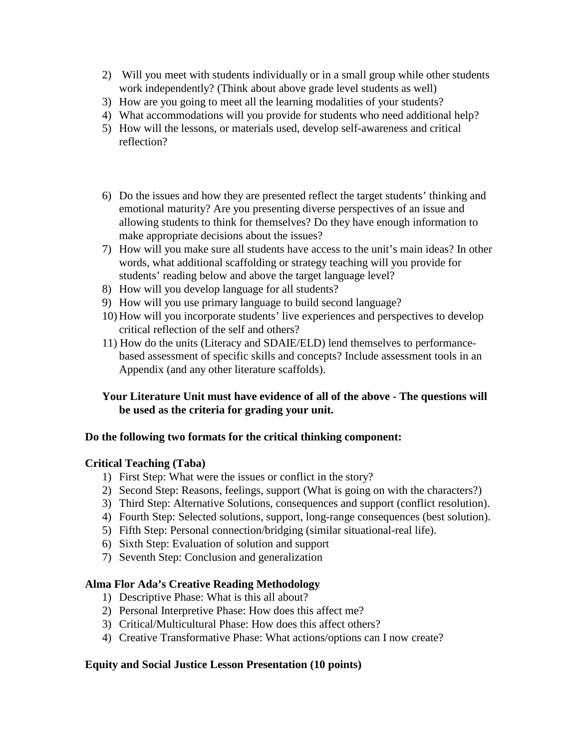- 2) Will you meet with students individually or in a small group while other students work independently? (Think about above grade level students as well)
- 3) How are you going to meet all the learning modalities of your students?
- 4) What accommodations will you provide for students who need additional help?
- 5) How will the lessons, or materials used, develop self-awareness and critical reflection?
- 6) Do the issues and how they are presented reflect the target students' thinking and emotional maturity? Are you presenting diverse perspectives of an issue and allowing students to think for themselves? Do they have enough information to make appropriate decisions about the issues?
- 7) How will you make sure all students have access to the unit's main ideas? In other words, what additional scaffolding or strategy teaching will you provide for students' reading below and above the target language level?
- 8) How will you develop language for all students?
- 9) How will you use primary language to build second language?
- 10) How will you incorporate students' live experiences and perspectives to develop critical reflection of the self and others?
- 11) How do the units (Literacy and SDAIE/ELD) lend themselves to performancebased assessment of specific skills and concepts? Include assessment tools in an Appendix (and any other literature scaffolds).

## **Your Literature Unit must have evidence of all of the above - The questions will be used as the criteria for grading your unit.**

## **Do the following two formats for the critical thinking component:**

### **Critical Teaching (Taba)**

- 1) First Step: What were the issues or conflict in the story?
- 2) Second Step: Reasons, feelings, support (What is going on with the characters?)
- 3) Third Step: Alternative Solutions, consequences and support (conflict resolution).
- 4) Fourth Step: Selected solutions, support, long-range consequences (best solution).
- 5) Fifth Step: Personal connection/bridging (similar situational-real life).
- 6) Sixth Step: Evaluation of solution and support
- 7) Seventh Step: Conclusion and generalization

### **Alma Flor Ada's Creative Reading Methodology**

- 1) Descriptive Phase: What is this all about?
- 2) Personal Interpretive Phase: How does this affect me?
- 3) Critical/Multicultural Phase: How does this affect others?
- 4) Creative Transformative Phase: What actions/options can I now create?

## **Equity and Social Justice Lesson Presentation (10 points)**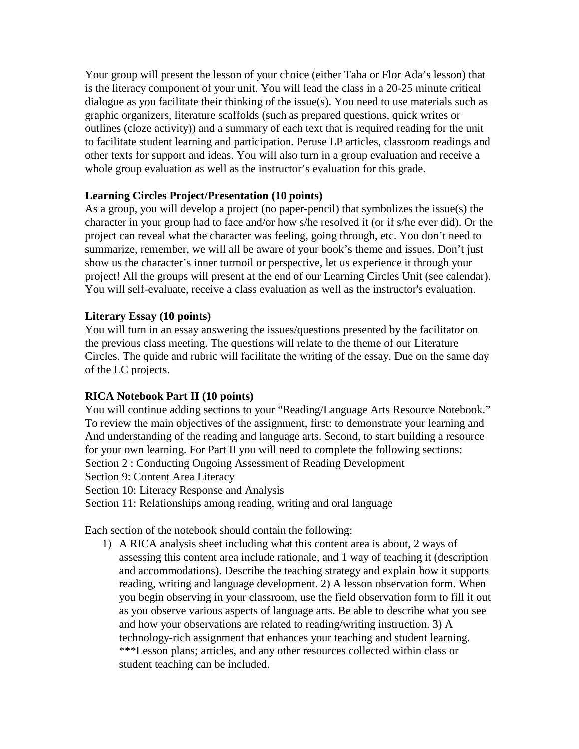Your group will present the lesson of your choice (either Taba or Flor Ada's lesson) that is the literacy component of your unit. You will lead the class in a 20-25 minute critical dialogue as you facilitate their thinking of the issue(s). You need to use materials such as graphic organizers, literature scaffolds (such as prepared questions, quick writes or outlines (cloze activity)) and a summary of each text that is required reading for the unit to facilitate student learning and participation. Peruse LP articles, classroom readings and other texts for support and ideas. You will also turn in a group evaluation and receive a whole group evaluation as well as the instructor's evaluation for this grade.

## **Learning Circles Project/Presentation (10 points)**

As a group, you will develop a project (no paper-pencil) that symbolizes the issue(s) the character in your group had to face and/or how s/he resolved it (or if s/he ever did). Or the project can reveal what the character was feeling, going through, etc. You don't need to summarize, remember, we will all be aware of your book's theme and issues. Don't just show us the character's inner turmoil or perspective, let us experience it through your project! All the groups will present at the end of our Learning Circles Unit (see calendar). You will self-evaluate, receive a class evaluation as well as the instructor's evaluation.

### **Literary Essay (10 points)**

You will turn in an essay answering the issues/questions presented by the facilitator on the previous class meeting. The questions will relate to the theme of our Literature Circles. The quide and rubric will facilitate the writing of the essay. Due on the same day of the LC projects.

### **RICA Notebook Part II (10 points)**

You will continue adding sections to your "Reading/Language Arts Resource Notebook." To review the main objectives of the assignment, first: to demonstrate your learning and And understanding of the reading and language arts. Second, to start building a resource for your own learning. For Part II you will need to complete the following sections: Section 2 : Conducting Ongoing Assessment of Reading Development Section 9: Content Area Literacy

Section 10: Literacy Response and Analysis

Section 11: Relationships among reading, writing and oral language

Each section of the notebook should contain the following:

1) A RICA analysis sheet including what this content area is about, 2 ways of assessing this content area include rationale, and 1 way of teaching it (description and accommodations). Describe the teaching strategy and explain how it supports reading, writing and language development. 2) A lesson observation form. When you begin observing in your classroom, use the field observation form to fill it out as you observe various aspects of language arts. Be able to describe what you see and how your observations are related to reading/writing instruction. 3) A technology-rich assignment that enhances your teaching and student learning. \*\*\*Lesson plans; articles, and any other resources collected within class or student teaching can be included.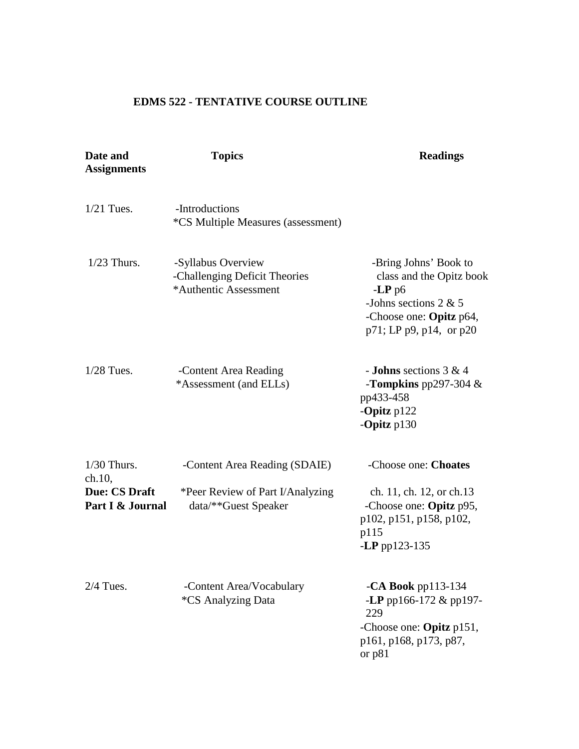# **EDMS 522 - TENTATIVE COURSE OUTLINE**

| Date and<br><b>Assignments</b>           | <b>Topics</b>                                                                | <b>Readings</b>                                                                                                                                |
|------------------------------------------|------------------------------------------------------------------------------|------------------------------------------------------------------------------------------------------------------------------------------------|
| $1/21$ Tues.                             | -Introductions<br><i>*CS Multiple Measures (assessment)</i>                  |                                                                                                                                                |
| $1/23$ Thurs.                            | -Syllabus Overview<br>-Challenging Deficit Theories<br>*Authentic Assessment | -Bring Johns' Book to<br>class and the Opitz book<br>$-LP$ p6<br>-Johns sections $2 & 5$<br>-Choose one: Opitz p64,<br>p71; LP p9, p14, or p20 |
| $1/28$ Tues.                             | -Content Area Reading<br>*Assessment (and ELLs)                              | - <b>Johns</b> sections $3 & 4$<br>-Tompkins pp297-304 $&$<br>pp433-458<br>-Opitz $p122$<br>-Opitz $p130$                                      |
| $1/30$ Thurs.<br>ch.10,                  | -Content Area Reading (SDAIE)                                                | -Choose one: Choates                                                                                                                           |
| <b>Due: CS Draft</b><br>Part I & Journal | *Peer Review of Part I/Analyzing<br>data/**Guest Speaker                     | ch. 11, ch. 12, or ch. 13<br>-Choose one: Opitz p95,<br>p102, p151, p158, p102,<br>p115<br>-LP pp123-135                                       |
| $2/4$ Tues.                              | -Content Area/Vocabulary<br><i><b>*CS Analyzing Data</b></i>                 | $-CA$ Book pp113-134<br>-LP pp166-172 $\&$ pp197-<br>229<br>-Choose one: Opitz p151,<br>p161, p168, p173, p87,<br>or p81                       |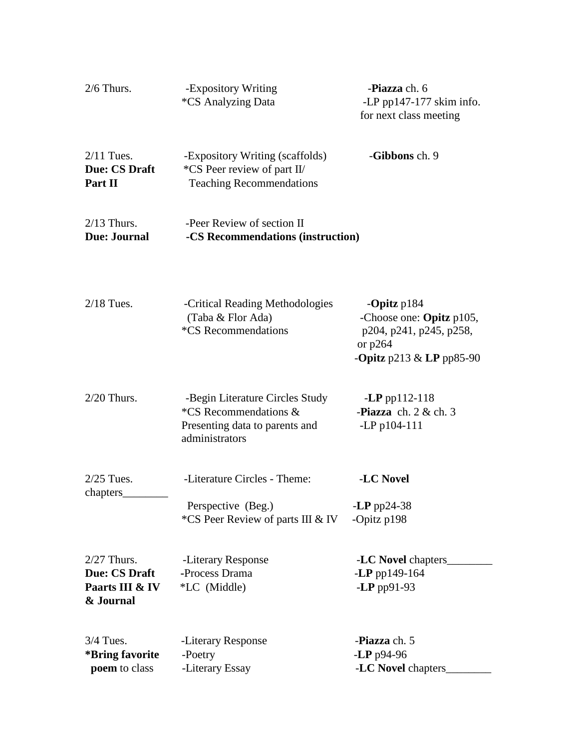| $2/6$ Thurs.                                                          | -Expository Writing<br><i><b>*CS Analyzing Data</b></i>                                                      | -Piazza ch. 6<br>-LP pp147-177 skim info.<br>for next class meeting                                                   |
|-----------------------------------------------------------------------|--------------------------------------------------------------------------------------------------------------|-----------------------------------------------------------------------------------------------------------------------|
| $2/11$ Tues.<br><b>Due: CS Draft</b><br>Part II                       | -Expository Writing (scaffolds)<br>*CS Peer review of part II/<br><b>Teaching Recommendations</b>            | -Gibbons ch. 9                                                                                                        |
| $2/13$ Thurs.<br><b>Due: Journal</b>                                  | -Peer Review of section II<br>-CS Recommendations (instruction)                                              |                                                                                                                       |
| $2/18$ Tues.                                                          | -Critical Reading Methodologies<br>(Taba & Flor Ada)<br>*CS Recommendations                                  | -Opitz $p184$<br>-Choose one: Opitz p105,<br>p204, p241, p245, p258,<br>or $p264$<br>- <b>Opitz</b> p213 & LP pp85-90 |
| $2/20$ Thurs.                                                         | -Begin Literature Circles Study<br>*CS Recommendations &<br>Presenting data to parents and<br>administrators | $-LP$ pp112-118<br>-Piazza ch. $2 &$ ch. $3$<br>-LP p104-111                                                          |
| $2/25$ Tues.<br>chapters                                              | -Literature Circles - Theme:                                                                                 | -LC Novel                                                                                                             |
|                                                                       | Perspective (Beg.)<br>*CS Peer Review of parts III & IV                                                      | -LP pp24-38<br>-Opitz p198                                                                                            |
| $2/27$ Thurs.<br><b>Due: CS Draft</b><br>Paarts III & IV<br>& Journal | -Literary Response<br>-Process Drama<br>*LC (Middle)                                                         | -LC Novel chapters<br>$-LP$ pp149-164<br>$-LP$ pp91-93                                                                |
| $3/4$ Tues.<br>*Bring favorite                                        | -Literary Response<br>-Poetry                                                                                | -Piazza ch. 5<br>$-LP$ p94-96                                                                                         |
| poem to class                                                         | -Literary Essay                                                                                              | -LC Novel chapters                                                                                                    |